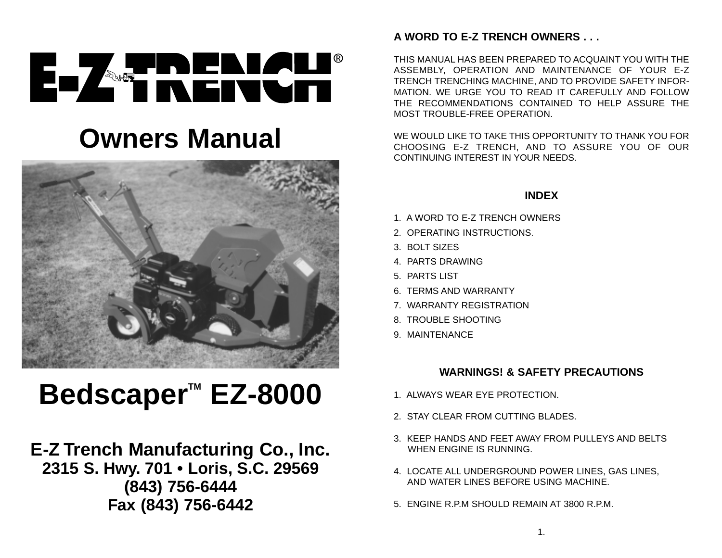# EL ZERENZU®

# **Owners Manual**



# **Bedscaper™ EZ-8000**

# **E-Z Trench Manufacturing Co., Inc. 2315 S. Hwy. 701 • Loris, S.C. 29569 (843) 756-6444 Fax (843) 756-6442**

# **A WORD TO E-Z TRENCH OWNERS . . .**

THIS MANUAL HAS BEEN PREPARED TO ACQUAINT YOU WITH THE ASSEMBLY, OPERATION AND MAINTENANCE OF YOUR E-Z TRENCH TRENCHING MACHINE, AND TO PROVIDE SAFETY INFOR-MATION. WE URGE YOU TO READ IT CAREFULLY AND FOLLOWTHE RECOMMENDATIONS CONTAINED TO HELP ASSURE THEMOST TROUBLE-FREE OPERATION.

WE WOULD LIKE TO TAKE THIS OPPORTUNITY TO THANK YOU FORCHOOSING E-Z TRENCH, AND TO ASSURE YOU OF OUR CONTINUING INTEREST IN YOUR NEEDS.

## **INDEX**

- 1. A WORD TO E-Z TRENCH OWNERS
- 2. OPERATING INSTRUCTIONS.
- 3. BOLT SIZES
- 4. PARTS DRAWING
- 5. PARTS LIST
- 6. TERMS AND WARRANTY
- 7. WARRANTY REGISTRATION
- 8. TROUBLE SHOOTING
- 9. MAINTENANCE

# **WARNINGS! & SAFETY PRECAUTIONS**

- 1. ALWAYS WEAR EYE PROTECTION.
- 2. STAY CLEAR FROM CUTTING BLADES.
- 3. KEEP HANDS AND FEET AWAY FROM PULLEYS AND BELTSWHEN ENGINE IS RUNNING.
- 4. LOCATE ALL UNDERGROUND POWER LINES, GAS LINES, AND WATER LINES BEFORE USING MACHINE.
- 5. ENGINE R.P.M SHOULD REMAIN AT 3800 R.P.M.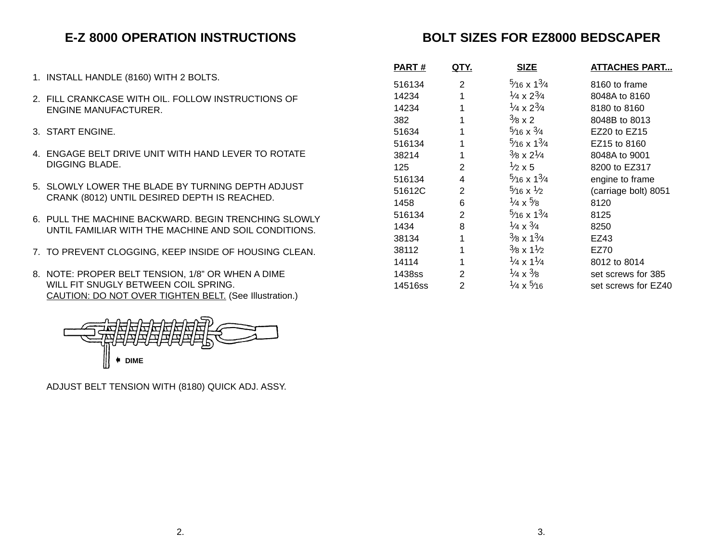# **E-Z 8000 OPERATION INSTRUCTIONS**

- 1. INSTALL HANDLE (8160) WITH 2 BOLTS.
- 2. FILL CRANKCASE WITH OIL. FOLLOW INSTRUCTIONS OFENGINE MANUFACTURER.
- 3. START ENGINE.
- 4. ENGAGE BELT DRIVE UNIT WITH HAND LEVER TO ROTATEDIGGING BLADE.
- 5. SLOWLY LOWER THE BLADE BY TURNING DEPTH ADJUSTCRANK (8012) UNTIL DESIRED DEPTH IS REACHED.
- 6. PULL THE MACHINE BACKWARD. BEGIN TRENCHING SLOWLY UNTIL FAMILIAR WITH THE MACHINE AND SOIL CONDITIONS.
- 7. TO PREVENT CLOGGING, KEEP INSIDE OF HOUSING CLEAN.
- 8. NOTE: PROPER BELT TENSION, 1/8" OR WHEN A DIME WILL FIT SNUGLY BETWEEN COIL SPRING. CAUTION: DO NOT OVER TIGHTEN BELT. (See Illustration.)



ADJUST BELT TENSION WITH (8180) QUICK ADJ. ASSY.

# **BOLT SIZES FOR EZ8000 BEDSCAPER**

| <u>PART #</u> | QTY. | <b>SIZE</b>                        | <b>ATTACHES PART</b> |  |  |
|---------------|------|------------------------------------|----------------------|--|--|
| 516134        | 2    | $\frac{5}{16}$ x $1\frac{3}{4}$    | 8160 to frame        |  |  |
| 14234         | 1    | $\frac{1}{4} \times 2\frac{3}{4}$  | 8048A to 8160        |  |  |
| 14234         | 1    | $\frac{1}{4} \times 2\frac{3}{4}$  | 8180 to 8160         |  |  |
| 382           | 1    | $\frac{3}{8}$ x 2                  | 8048B to 8013        |  |  |
| 51634         | 1    | $\frac{5}{16}$ x $\frac{3}{4}$     | $EZ20$ to $EZ15$     |  |  |
| 516134        | 1    | $\frac{5}{16}$ x $\frac{13}{4}$    | EZ15 to 8160         |  |  |
| 38214         | 1    | $^{3}/8 \times 2^{1}/4$            | 8048A to 9001        |  |  |
| 125           | 2    | $\frac{1}{2} \times 5$             | 8200 to EZ317        |  |  |
| 516134        | 4    | $\frac{5}{16}$ x $\frac{13}{4}$    | engine to frame      |  |  |
| 51612C        | 2    | $\frac{5}{16}$ x $\frac{1}{2}$     | (carriage bolt) 8051 |  |  |
| 1458          | 6    | $\frac{1}{4} \times \frac{5}{8}$   | 8120                 |  |  |
| 516134        | 2    | $\frac{5}{16}$ x $1\frac{3}{4}$    | 8125                 |  |  |
| 1434          | 8    | $\frac{1}{4} \times \frac{3}{4}$   | 8250                 |  |  |
| 38134         | 1    | $\frac{3}{8}$ x 1 $\frac{3}{4}$    | EZ43                 |  |  |
| 38112         | 1    | $\frac{3}{8}$ x 1 $\frac{1}{2}$    | EZ70                 |  |  |
| 14114         | 1    | $\frac{1}{4} \times 1\frac{1}{4}$  | 8012 to 8014         |  |  |
| 1438ss        | 2    | $\frac{1}{4} \times \frac{3}{8}$   | set screws for 385   |  |  |
| 14516ss       | 2    | <sup>1</sup> /4 x <sup>5</sup> /16 | set screws for EZ40  |  |  |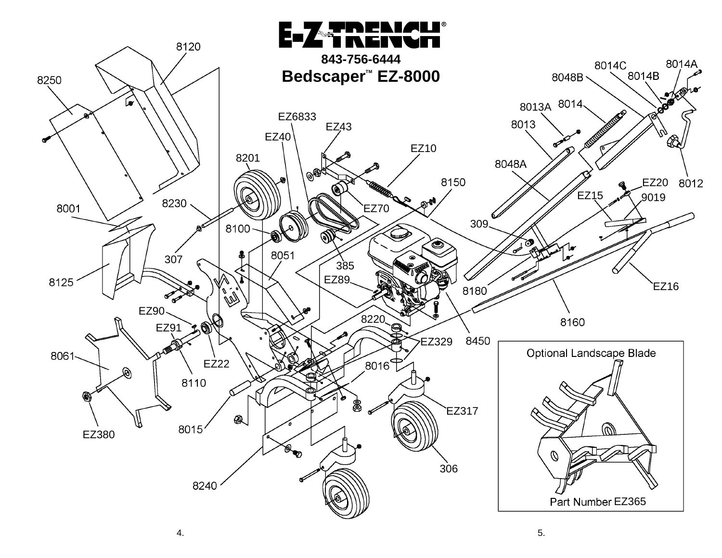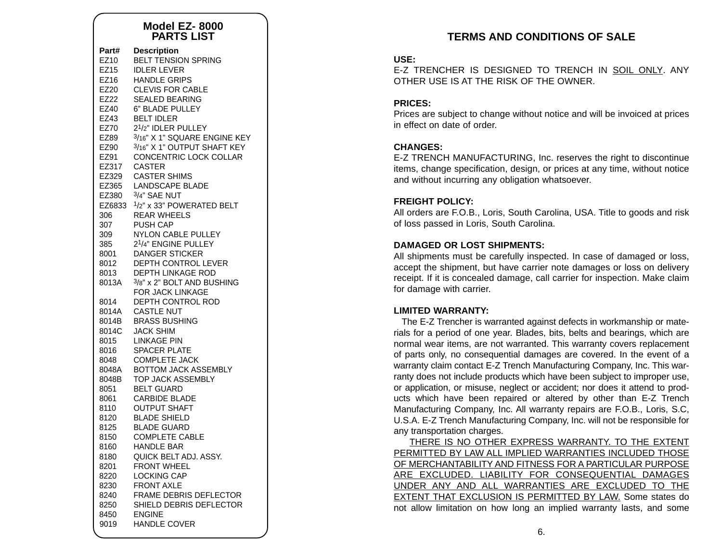#### **Model EZ- 8000PARTS LIST**

| Part#               | <b>Description</b>                                                                                                   |
|---------------------|----------------------------------------------------------------------------------------------------------------------|
| EZ10                | <b>BELT TENSION SPRING</b>                                                                                           |
| EZ15                | <b>IDLER LEVER</b>                                                                                                   |
| EZ16                | <b>HANDLE GRIPS</b>                                                                                                  |
| EZ20                | <b>CLEVIS FOR CABLE</b>                                                                                              |
| EZ22                | <b>SEALED BEARING</b>                                                                                                |
| EZ40                | 6" BLADE PULLEY                                                                                                      |
| EZ43                | <b>BELT IDLER</b>                                                                                                    |
| EZ70                | 2 <sup>1</sup> /2" IDLER PULLEY                                                                                      |
| EZ89                | 3/16" X 1" SQUARE ENGINE KEY                                                                                         |
| EZ90<br>EZ91        | 3/16" X 1" OUTPUT SHAFT KEY<br>CONCENTRIC LOCK COLLAR<br>EZ317 CASTER<br>EZ329 CASTER SHIMS<br>EZ365 LANDSCAPE BLADE |
| EZ380<br>306<br>307 | 3/4" SAE NUT<br>EZ6833 1/2" x 33" POWERATED BELT<br><b>REAR WHEELS</b><br>PUSH CAP                                   |
| 309<br>385<br>8001  | NYLON CABLE PULLEY<br>2 <sup>1</sup> /4" ENGINE PULLEY<br><b>DANGER STICKER</b><br>8012 DEPTH CONTROL LEVER          |
| 8013<br>8013A       | DEPTH LINKAGE ROD<br>3/8" x 2" BOLT AND BUSHING<br>FOR JACK LINKAGE                                                  |
| 8014                | DEPTH CONTROL ROD                                                                                                    |
| 8014A               | CASTLE NUT                                                                                                           |
| 8014B               | <b>BRASS BUSHING</b>                                                                                                 |
| 8014C               | <b>JACK SHIM</b><br>IACK SHIM                                                                                        |
| 8015                | LINKAGE PIN                                                                                                          |
| 8016                | <b>SPACER PLATE</b>                                                                                                  |
| 8048                | <b>COMPLETE JACK</b>                                                                                                 |
| 8048A               | <b>BOTTOM JACK ASSEMBLY</b>                                                                                          |
| 8048B               | <b>TOP JACK ASSEMBLY</b>                                                                                             |
| 8051                | <b>BELT GUARD</b>                                                                                                    |
| 8061                | <b>CARBIDE BLADE</b>                                                                                                 |
| 8110                | <b>OUTPUT SHAFT</b>                                                                                                  |
| 8120                | <b>BLADE SHIELD</b>                                                                                                  |
| 8125                | BLADE GUARD                                                                                                          |
| 8150                | <b>COMPLETE CABLE</b>                                                                                                |
| 8160                | <b>HANDLE BAR</b>                                                                                                    |
| 8180                | QUICK BELT ADJ. ASSY.                                                                                                |
| 8201                | <b>FRONT WHEEL</b>                                                                                                   |
| 8220                | <b>LOCKING CAP</b>                                                                                                   |
| 8230                | <b>FRONT AXLE</b>                                                                                                    |
| 8240                | FRAME DEBRIS DEFLECTOR                                                                                               |
| 8250                | SHIELD DEBRIS DEFLECTOR                                                                                              |
| 8450                | <b>ENGINE</b>                                                                                                        |
| 9019                | <b>HANDLE COVER</b>                                                                                                  |

# **TERMS AND CONDITIONS OF SALE**

#### **USE:**

E-Z TRENCHER IS DESIGNED TO TRENCH IN SOIL ONLY. ANYOTHER USE IS AT THE RISK OF THE OWNER.

#### **PRICES:**

Prices are subject to change without notice and will be invoiced at prices in effect on date of order.

#### **CHANGES:**

E-Z TRENCH MANUFACTURING, Inc. reserves the right to discontinue items, change specification, design, or prices at any time, without notice and without incurring any obligation whatsoever.

#### **FREIGHT POLICY:**

All orders are F.O.B., Loris, South Carolina, USA. Title to goods and risk of loss passed in Loris, South Carolina.

#### **DAMAGED OR LOST SHIPMENTS:**

All shipments must be carefully inspected. In case of damaged or loss, accept the shipment, but have carrier note damages or loss on delivery receipt. If it is concealed damage, call carrier for inspection. Make claim for damage with carrier.

#### **LIMITED WARRANTY:**

The E-Z Trencher is warranted against defects in workmanship or materials for a period of one year. Blades, bits, belts and bearings, which are normal wear items, are not warranted. This warranty covers replacement of parts only, no consequential damages are covered. In the event of a warranty claim contact E-Z Trench Manufacturing Company, Inc. This warranty does not include products which have been subject to improper use, or application, or misuse, neglect or accident; nor does it attend to products which have been repaired or altered by other than E-Z Trench Manufacturing Company, Inc. All warranty repairs are F.O.B., Loris, S.C, U.S.A. E-Z Trench Manufacturing Company, Inc. will not be responsible for any transportation charges.

THERE IS NO OTHER EXPRESS WARRANTY. TO THE EXTENT PERMITTED BY LAW ALL IMPLIED WARRANTIES INCLUDED THOSE OF MERCHANTABILITY AND FITNESS FOR A PARTICULAR PURPOSE ARE EXCLUDED. LIABILITY FOR CONSEQUENTIAL DAMAGES UNDER ANY AND ALL WARRANTIES ARE EXCLUDED TO THE EXTENT THAT EXCLUSION IS PERMITTED BY LAW. Some states do not allow limitation on how long an implied warranty lasts, and some